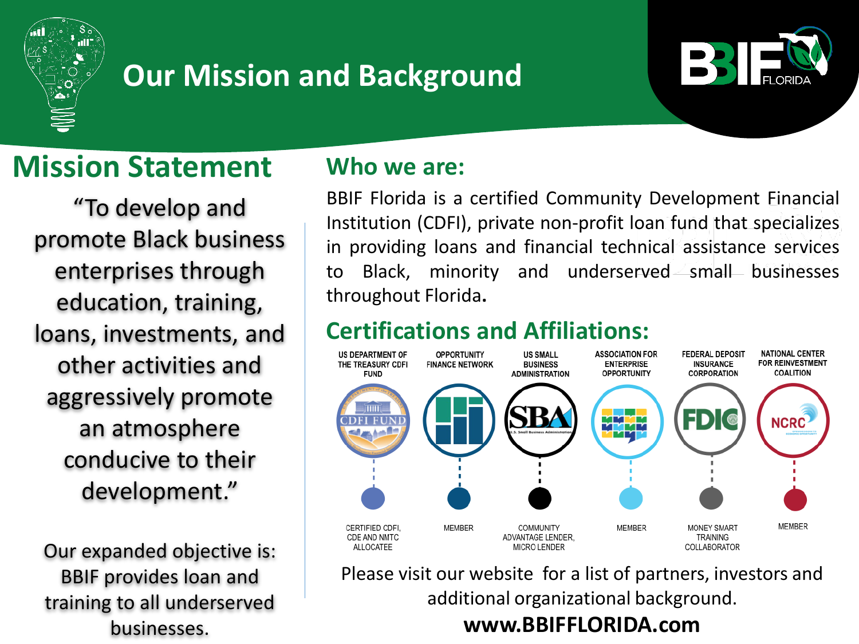

# **Our Mission and Background**



# **Mission Statement**

"To develop and promote Black business enterprises through education, training, loans, investments, and other activities and aggressively promote an atmosphere conducive to their development."

Our expanded objective is: BBIF provides loan and training to all underserved businesses.

### **Who we are:**

BBIF Florida is a certified Community Development Financial Institution (CDFI), private non-profit loan fund that specializes in providing loans and financial technical assistance services to Black, minority and underserved small businesses throughout Florida**.**

## **Certifications and Affiliations:**



Please visit our website for a list of partners, investors and additional organizational background. **www.BBIFFLORIDA.com**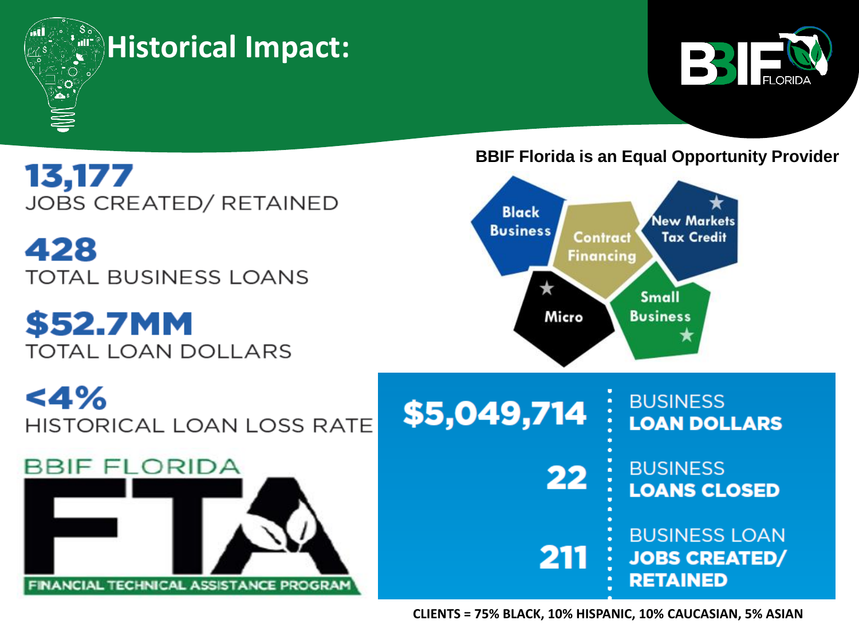

## **Historical Impact:**



13,177 **JOBS CREATED/ RETAINED** 

428 **TOTAL BUSINESS LOANS** 

**\$52.7MM TOTAL LOAN DOLLARS** 

 $<$ 4% **HISTORICAL LOAN LOSS RATE** 



#### **BBIF Florida is an Equal Opportunity Provider**



**BUSINESS LOANS CLOSED** 

**BUSINESS LOAN JOBS CREATED/ RETAINED** 

**CLIENTS = 75% BLACK, 10% HISPANIC, 10% CAUCASIAN, 5% ASIAN**

22

211